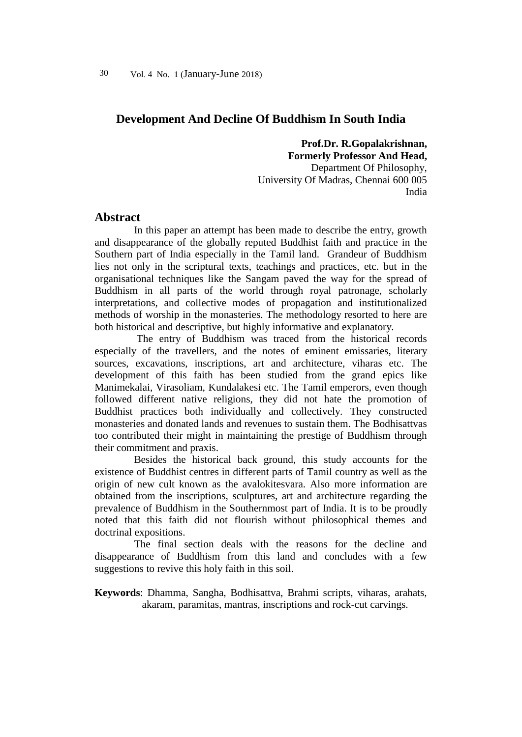## **Development And Decline Of Buddhism In South India**

**Prof.Dr. R.Gopalakrishnan, Formerly Professor And Head,** Department Of Philosophy, University Of Madras, Chennai 600 005 India

### **Abstract**

In this paper an attempt has been made to describe the entry, growth and disappearance of the globally reputed Buddhist faith and practice in the Southern part of India especially in the Tamil land. Grandeur of Buddhism lies not only in the scriptural texts, teachings and practices, etc. but in the organisational techniques like the Sangam paved the way for the spread of Buddhism in all parts of the world through royal patronage, scholarly interpretations, and collective modes of propagation and institutionalized methods of worship in the monasteries. The methodology resorted to here are both historical and descriptive, but highly informative and explanatory.

The entry of Buddhism was traced from the historical records especially of the travellers, and the notes of eminent emissaries, literary sources, excavations, inscriptions, art and architecture, viharas etc. The development of this faith has been studied from the grand epics like Manimekalai, Virasoliam, Kundalakesi etc. The Tamil emperors, even though followed different native religions, they did not hate the promotion of Buddhist practices both individually and collectively. They constructed monasteries and donated lands and revenues to sustain them. The Bodhisattvas too contributed their might in maintaining the prestige of Buddhism through their commitment and praxis.

Besides the historical back ground, this study accounts for the existence of Buddhist centres in different parts of Tamil country as well as the origin of new cult known as the avalokitesvara. Also more information are obtained from the inscriptions, sculptures, art and architecture regarding the prevalence of Buddhism in the Southernmost part of India. It is to be proudly noted that this faith did not flourish without philosophical themes and doctrinal expositions.

The final section deals with the reasons for the decline and disappearance of Buddhism from this land and concludes with a few suggestions to revive this holy faith in this soil.

**Keywords**: Dhamma, Sangha, Bodhisattva, Brahmi scripts, viharas, arahats, akaram, paramitas, mantras, inscriptions and rock-cut carvings.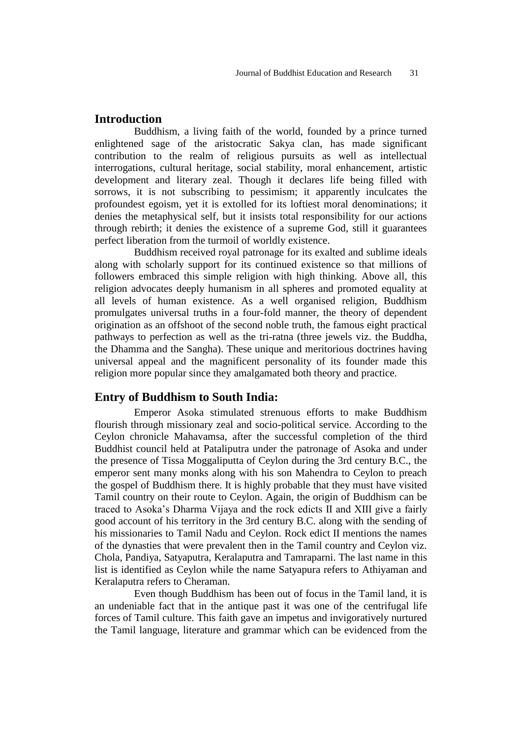# **Introduction**

Buddhism, a living faith of the world, founded by a prince turned enlightened sage of the aristocratic Sakya clan, has made significant contribution to the realm of religious pursuits as well as intellectual interrogations, cultural heritage, social stability, moral enhancement, artistic development and literary zeal. Though it declares life being filled with sorrows, it is not subscribing to pessimism; it apparently inculcates the profoundest egoism, yet it is extolled for its loftiest moral denominations; it denies the metaphysical self, but it insists total responsibility for our actions through rebirth; it denies the existence of a supreme God, still it guarantees perfect liberation from the turmoil of worldly existence.

Buddhism received royal patronage for its exalted and sublime ideals along with scholarly support for its continued existence so that millions of followers embraced this simple religion with high thinking. Above all, this religion advocates deeply humanism in all spheres and promoted equality at all levels of human existence. As a well organised religion, Buddhism promulgates universal truths in a four-fold manner, the theory of dependent origination as an offshoot of the second noble truth, the famous eight practical pathways to perfection as well as the tri-ratna (three jewels viz. the Buddha, the Dhamma and the Sangha). These unique and meritorious doctrines having universal appeal and the magnificent personality of its founder made this religion more popular since they amalgamated both theory and practice.

### **Entry of Buddhism to South India:**

Emperor Asoka stimulated strenuous efforts to make Buddhism flourish through missionary zeal and socio-political service. According to the Ceylon chronicle Mahavamsa, after the successful completion of the third Buddhist council held at Pataliputra under the patronage of Asoka and under the presence of Tissa Moggaliputta of Ceylon during the 3rd century B.C., the emperor sent many monks along with his son Mahendra to Ceylon to preach the gospel of Buddhism there. It is highly probable that they must have visited Tamil country on their route to Ceylon. Again, the origin of Buddhism can be traced to Asoka's Dharma Vijaya and the rock edicts II and XIII give a fairly good account of his territory in the 3rd century B.C. along with the sending of his missionaries to Tamil Nadu and Ceylon. Rock edict II mentions the names of the dynasties that were prevalent then in the Tamil country and Ceylon viz. Chola, Pandiya, Satyaputra, Keralaputra and Tamraparni. The last name in this list is identified as Ceylon while the name Satyapura refers to Athiyaman and Keralaputra refers to Cheraman.

Even though Buddhism has been out of focus in the Tamil land, it is an undeniable fact that in the antique past it was one of the centrifugal life forces of Tamil culture. This faith gave an impetus and invigoratively nurtured the Tamil language, literature and grammar which can be evidenced from the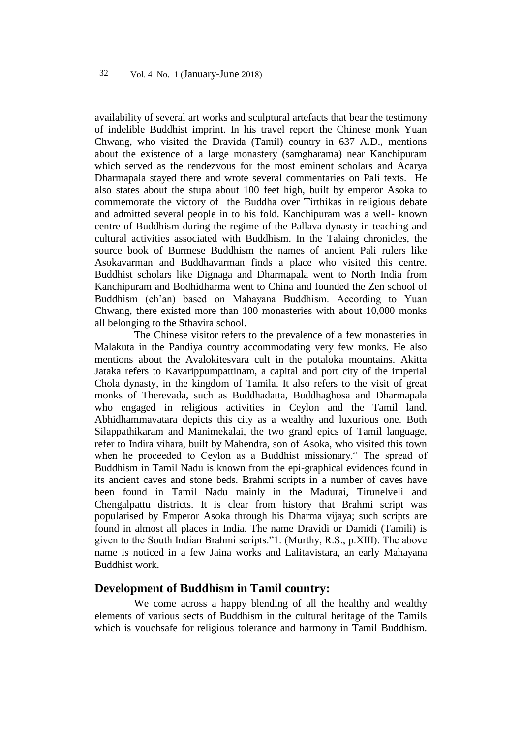availability of several art works and sculptural artefacts that bear the testimony of indelible Buddhist imprint. In his travel report the Chinese monk Yuan Chwang, who visited the Dravida (Tamil) country in 637 A.D., mentions about the existence of a large monastery (samgharama) near Kanchipuram which served as the rendezvous for the most eminent scholars and Acarya Dharmapala stayed there and wrote several commentaries on Pali texts. He also states about the stupa about 100 feet high, built by emperor Asoka to commemorate the victory of the Buddha over Tirthikas in religious debate and admitted several people in to his fold. Kanchipuram was a well- known centre of Buddhism during the regime of the Pallava dynasty in teaching and cultural activities associated with Buddhism. In the Talaing chronicles, the source book of Burmese Buddhism the names of ancient Pali rulers like Asokavarman and Buddhavarman finds a place who visited this centre. Buddhist scholars like Dignaga and Dharmapala went to North India from Kanchipuram and Bodhidharma went to China and founded the Zen school of Buddhism (ch'an) based on Mahayana Buddhism. According to Yuan Chwang, there existed more than 100 monasteries with about 10,000 monks all belonging to the Sthavira school.

The Chinese visitor refers to the prevalence of a few monasteries in Malakuta in the Pandiya country accommodating very few monks. He also mentions about the Avalokitesvara cult in the potaloka mountains. Akitta Jataka refers to Kavarippumpattinam, a capital and port city of the imperial Chola dynasty, in the kingdom of Tamila. It also refers to the visit of great monks of Therevada, such as Buddhadatta, Buddhaghosa and Dharmapala who engaged in religious activities in Ceylon and the Tamil land. Abhidhammavatara depicts this city as a wealthy and luxurious one. Both Silappathikaram and Manimekalai, the two grand epics of Tamil language, refer to Indira vihara, built by Mahendra, son of Asoka, who visited this town when he proceeded to Ceylon as a Buddhist missionary." The spread of Buddhism in Tamil Nadu is known from the epi-graphical evidences found in its ancient caves and stone beds. Brahmi scripts in a number of caves have been found in Tamil Nadu mainly in the Madurai, Tirunelveli and Chengalpattu districts. It is clear from history that Brahmi script was popularised by Emperor Asoka through his Dharma vijaya; such scripts are found in almost all places in India. The name Dravidi or Damidi (Tamili) is given to the South Indian Brahmi scripts."1. (Murthy, R.S., p.XIII). The above name is noticed in a few Jaina works and Lalitavistara, an early Mahayana Buddhist work.

## **Development of Buddhism in Tamil country:**

We come across a happy blending of all the healthy and wealthy elements of various sects of Buddhism in the cultural heritage of the Tamils which is vouchsafe for religious tolerance and harmony in Tamil Buddhism.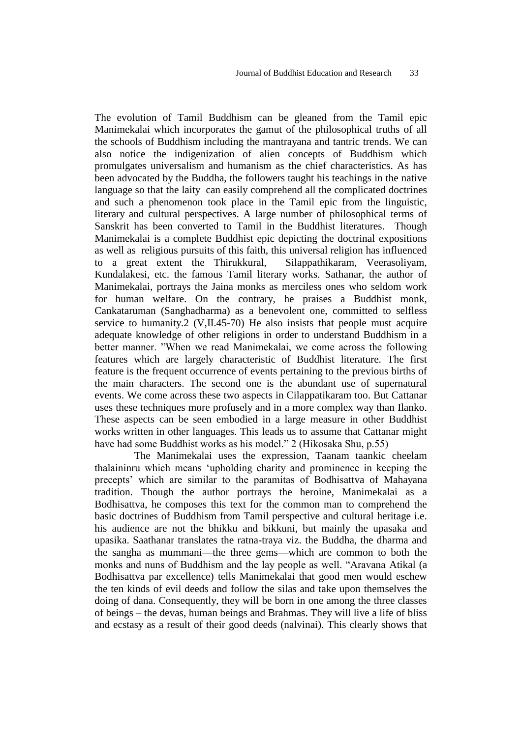The evolution of Tamil Buddhism can be gleaned from the Tamil epic Manimekalai which incorporates the gamut of the philosophical truths of all the schools of Buddhism including the mantrayana and tantric trends. We can also notice the indigenization of alien concepts of Buddhism which promulgates universalism and humanism as the chief characteristics. As has been advocated by the Buddha, the followers taught his teachings in the native language so that the laity can easily comprehend all the complicated doctrines and such a phenomenon took place in the Tamil epic from the linguistic, literary and cultural perspectives. A large number of philosophical terms of Sanskrit has been converted to Tamil in the Buddhist literatures. Though Manimekalai is a complete Buddhist epic depicting the doctrinal expositions as well as religious pursuits of this faith, this universal religion has influenced to a great extent the Thirukkural, Silappathikaram, Veerasoliyam, Kundalakesi, etc. the famous Tamil literary works. Sathanar, the author of Manimekalai, portrays the Jaina monks as merciless ones who seldom work for human welfare. On the contrary, he praises a Buddhist monk, Cankataruman (Sanghadharma) as a benevolent one, committed to selfless service to humanity.2 (V,II.45-70) He also insists that people must acquire adequate knowledge of other religions in order to understand Buddhism in a better manner. "When we read Manimekalai, we come across the following features which are largely characteristic of Buddhist literature. The first feature is the frequent occurrence of events pertaining to the previous births of the main characters. The second one is the abundant use of supernatural events. We come across these two aspects in Cilappatikaram too. But Cattanar uses these techniques more profusely and in a more complex way than Ilanko. These aspects can be seen embodied in a large measure in other Buddhist works written in other languages. This leads us to assume that Cattanar might have had some Buddhist works as his model." 2 (Hikosaka Shu, p.55)

The Manimekalai uses the expression, Taanam taankic cheelam thalaininru which means ‗upholding charity and prominence in keeping the precepts' which are similar to the paramitas of Bodhisattva of Mahayana tradition. Though the author portrays the heroine, Manimekalai as a Bodhisattva, he composes this text for the common man to comprehend the basic doctrines of Buddhism from Tamil perspective and cultural heritage i.e. his audience are not the bhikku and bikkuni, but mainly the upasaka and upasika. Saathanar translates the ratna-traya viz. the Buddha, the dharma and the sangha as mummani—the three gems—which are common to both the monks and nuns of Buddhism and the lay people as well. "Aravana Atikal (a Bodhisattva par excellence) tells Manimekalai that good men would eschew the ten kinds of evil deeds and follow the silas and take upon themselves the doing of dana. Consequently, they will be born in one among the three classes of beings – the devas, human beings and Brahmas. They will live a life of bliss and ecstasy as a result of their good deeds (nalvinai). This clearly shows that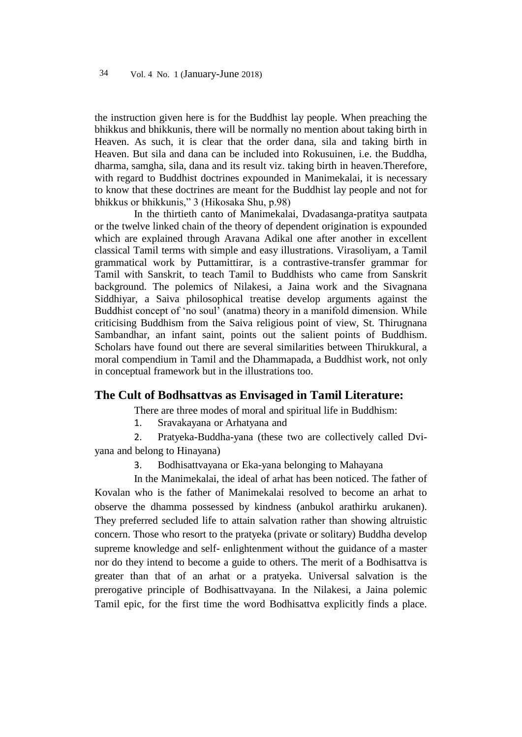the instruction given here is for the Buddhist lay people. When preaching the bhikkus and bhikkunis, there will be normally no mention about taking birth in Heaven. As such, it is clear that the order dana, sila and taking birth in Heaven. But sila and dana can be included into Rokusuinen, i.e. the Buddha, dharma, samgha, sila, dana and its result viz. taking birth in heaven.Therefore, with regard to Buddhist doctrines expounded in Manimekalai, it is necessary to know that these doctrines are meant for the Buddhist lay people and not for bhikkus or bhikkunis," 3 (Hikosaka Shu, p.98)

In the thirtieth canto of Manimekalai, Dvadasanga-pratitya sautpata or the twelve linked chain of the theory of dependent origination is expounded which are explained through Aravana Adikal one after another in excellent classical Tamil terms with simple and easy illustrations. Virasoliyam, a Tamil grammatical work by Puttamittirar, is a contrastive-transfer grammar for Tamil with Sanskrit, to teach Tamil to Buddhists who came from Sanskrit background. The polemics of Nilakesi, a Jaina work and the Sivagnana Siddhiyar, a Saiva philosophical treatise develop arguments against the Buddhist concept of 'no soul' (anatma) theory in a manifold dimension. While criticising Buddhism from the Saiva religious point of view, St. Thirugnana Sambandhar, an infant saint, points out the salient points of Buddhism. Scholars have found out there are several similarities between Thirukkural, a moral compendium in Tamil and the Dhammapada, a Buddhist work, not only in conceptual framework but in the illustrations too.

#### **The Cult of Bodhsattvas as Envisaged in Tamil Literature:**

There are three modes of moral and spiritual life in Buddhism:

1. Sravakayana or Arhatyana and

2. Pratyeka-Buddha-yana (these two are collectively called Dviyana and belong to Hinayana)

3. Bodhisattvayana or Eka-yana belonging to Mahayana

In the Manimekalai, the ideal of arhat has been noticed. The father of Kovalan who is the father of Manimekalai resolved to become an arhat to observe the dhamma possessed by kindness (anbukol arathirku arukanen). They preferred secluded life to attain salvation rather than showing altruistic concern. Those who resort to the pratyeka (private or solitary) Buddha develop supreme knowledge and self- enlightenment without the guidance of a master nor do they intend to become a guide to others. The merit of a Bodhisattva is greater than that of an arhat or a pratyeka. Universal salvation is the prerogative principle of Bodhisattvayana. In the Nilakesi, a Jaina polemic Tamil epic, for the first time the word Bodhisattva explicitly finds a place.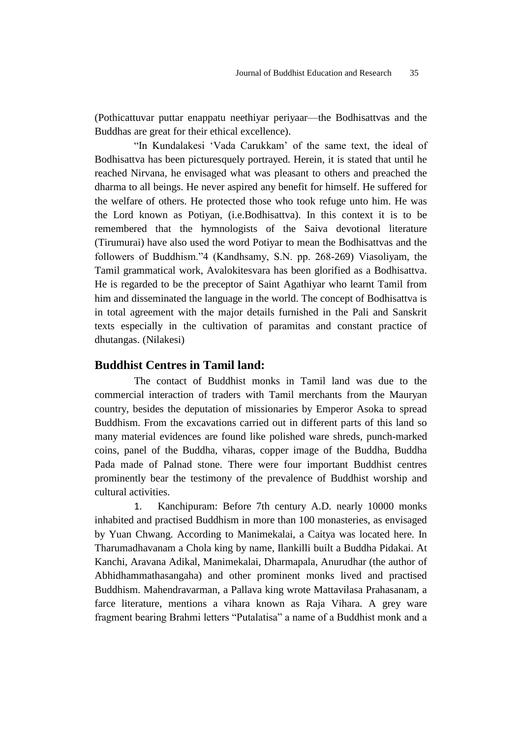(Pothicattuvar puttar enappatu neethiyar periyaar—the Bodhisattvas and the Buddhas are great for their ethical excellence).

"In Kundalakesi 'Vada Carukkam' of the same text, the ideal of Bodhisattva has been picturesquely portrayed. Herein, it is stated that until he reached Nirvana, he envisaged what was pleasant to others and preached the dharma to all beings. He never aspired any benefit for himself. He suffered for the welfare of others. He protected those who took refuge unto him. He was the Lord known as Potiyan, (i.e.Bodhisattva). In this context it is to be remembered that the hymnologists of the Saiva devotional literature (Tirumurai) have also used the word Potiyar to mean the Bodhisattvas and the followers of Buddhism."4 (Kandhsamy, S.N. pp. 268-269) Viasoliyam, the Tamil grammatical work, Avalokitesvara has been glorified as a Bodhisattva. He is regarded to be the preceptor of Saint Agathiyar who learnt Tamil from him and disseminated the language in the world. The concept of Bodhisattva is in total agreement with the major details furnished in the Pali and Sanskrit texts especially in the cultivation of paramitas and constant practice of dhutangas. (Nilakesi)

#### **Buddhist Centres in Tamil land:**

The contact of Buddhist monks in Tamil land was due to the commercial interaction of traders with Tamil merchants from the Mauryan country, besides the deputation of missionaries by Emperor Asoka to spread Buddhism. From the excavations carried out in different parts of this land so many material evidences are found like polished ware shreds, punch-marked coins, panel of the Buddha, viharas, copper image of the Buddha, Buddha Pada made of Palnad stone. There were four important Buddhist centres prominently bear the testimony of the prevalence of Buddhist worship and cultural activities.

1. Kanchipuram: Before 7th century A.D. nearly 10000 monks inhabited and practised Buddhism in more than 100 monasteries, as envisaged by Yuan Chwang. According to Manimekalai, a Caitya was located here. In Tharumadhavanam a Chola king by name, Ilankilli built a Buddha Pidakai. At Kanchi, Aravana Adikal, Manimekalai, Dharmapala, Anurudhar (the author of Abhidhammathasangaha) and other prominent monks lived and practised Buddhism. Mahendravarman, a Pallava king wrote Mattavilasa Prahasanam, a farce literature, mentions a vihara known as Raja Vihara. A grey ware fragment bearing Brahmi letters "Putalatisa" a name of a Buddhist monk and a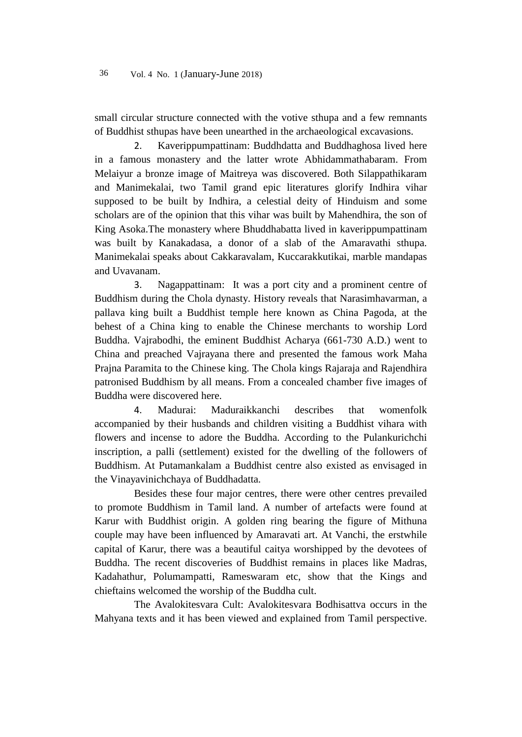small circular structure connected with the votive sthupa and a few remnants of Buddhist sthupas have been unearthed in the archaeological excavasions.

2. Kaverippumpattinam: Buddhdatta and Buddhaghosa lived here in a famous monastery and the latter wrote Abhidammathabaram. From Melaiyur a bronze image of Maitreya was discovered. Both Silappathikaram and Manimekalai, two Tamil grand epic literatures glorify Indhira vihar supposed to be built by Indhira, a celestial deity of Hinduism and some scholars are of the opinion that this vihar was built by Mahendhira, the son of King Asoka.The monastery where Bhuddhabatta lived in kaverippumpattinam was built by Kanakadasa, a donor of a slab of the Amaravathi sthupa. Manimekalai speaks about Cakkaravalam, Kuccarakkutikai, marble mandapas and Uvavanam.

3. Nagappattinam: It was a port city and a prominent centre of Buddhism during the Chola dynasty. History reveals that Narasimhavarman, a pallava king built a Buddhist temple here known as China Pagoda, at the behest of a China king to enable the Chinese merchants to worship Lord Buddha. Vajrabodhi, the eminent Buddhist Acharya (661-730 A.D.) went to China and preached Vajrayana there and presented the famous work Maha Prajna Paramita to the Chinese king. The Chola kings Rajaraja and Rajendhira patronised Buddhism by all means. From a concealed chamber five images of Buddha were discovered here.

4. Madurai: Maduraikkanchi describes that womenfolk accompanied by their husbands and children visiting a Buddhist vihara with flowers and incense to adore the Buddha. According to the Pulankurichchi inscription, a palli (settlement) existed for the dwelling of the followers of Buddhism. At Putamankalam a Buddhist centre also existed as envisaged in the Vinayavinichchaya of Buddhadatta.

Besides these four major centres, there were other centres prevailed to promote Buddhism in Tamil land. A number of artefacts were found at Karur with Buddhist origin. A golden ring bearing the figure of Mithuna couple may have been influenced by Amaravati art. At Vanchi, the erstwhile capital of Karur, there was a beautiful caitya worshipped by the devotees of Buddha. The recent discoveries of Buddhist remains in places like Madras, Kadahathur, Polumampatti, Rameswaram etc, show that the Kings and chieftains welcomed the worship of the Buddha cult.

The Avalokitesvara Cult: Avalokitesvara Bodhisattva occurs in the Mahyana texts and it has been viewed and explained from Tamil perspective.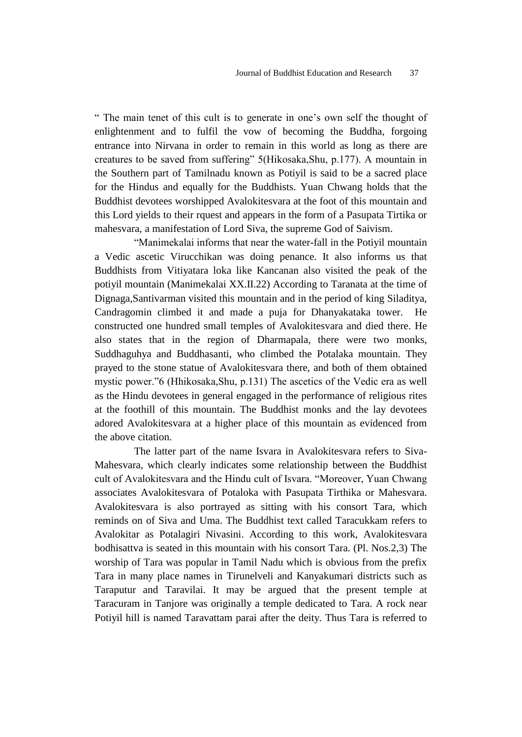― The main tenet of this cult is to generate in one's own self the thought of enlightenment and to fulfil the vow of becoming the Buddha, forgoing entrance into Nirvana in order to remain in this world as long as there are creatures to be saved from suffering" 5(Hikosaka,Shu, p.177). A mountain in the Southern part of Tamilnadu known as Potiyil is said to be a sacred place for the Hindus and equally for the Buddhists. Yuan Chwang holds that the Buddhist devotees worshipped Avalokitesvara at the foot of this mountain and this Lord yields to their rquest and appears in the form of a Pasupata Tirtika or mahesvara, a manifestation of Lord Siva, the supreme God of Saivism.

"Manimekalai informs that near the water-fall in the Potiyil mountain a Vedic ascetic Virucchikan was doing penance. It also informs us that Buddhists from Vitiyatara loka like Kancanan also visited the peak of the potiyil mountain (Manimekalai XX.II.22) According to Taranata at the time of Dignaga,Santivarman visited this mountain and in the period of king Siladitya, Candragomin climbed it and made a puja for Dhanyakataka tower. He constructed one hundred small temples of Avalokitesvara and died there. He also states that in the region of Dharmapala, there were two monks, Suddhaguhya and Buddhasanti, who climbed the Potalaka mountain. They prayed to the stone statue of Avalokitesvara there, and both of them obtained mystic power."6 (Hhikosaka,Shu, p.131) The ascetics of the Vedic era as well as the Hindu devotees in general engaged in the performance of religious rites at the foothill of this mountain. The Buddhist monks and the lay devotees adored Avalokitesvara at a higher place of this mountain as evidenced from the above citation.

The latter part of the name Isvara in Avalokitesvara refers to Siva-Mahesvara, which clearly indicates some relationship between the Buddhist cult of Avalokitesvara and the Hindu cult of Isvara. "Moreover, Yuan Chwang associates Avalokitesvara of Potaloka with Pasupata Tirthika or Mahesvara. Avalokitesvara is also portrayed as sitting with his consort Tara, which reminds on of Siva and Uma. The Buddhist text called Taracukkam refers to Avalokitar as Potalagiri Nivasini. According to this work, Avalokitesvara bodhisattva is seated in this mountain with his consort Tara. (Pl. Nos.2,3) The worship of Tara was popular in Tamil Nadu which is obvious from the prefix Tara in many place names in Tirunelveli and Kanyakumari districts such as Taraputur and Taravilai. It may be argued that the present temple at Taracuram in Tanjore was originally a temple dedicated to Tara. A rock near Potiyil hill is named Taravattam parai after the deity. Thus Tara is referred to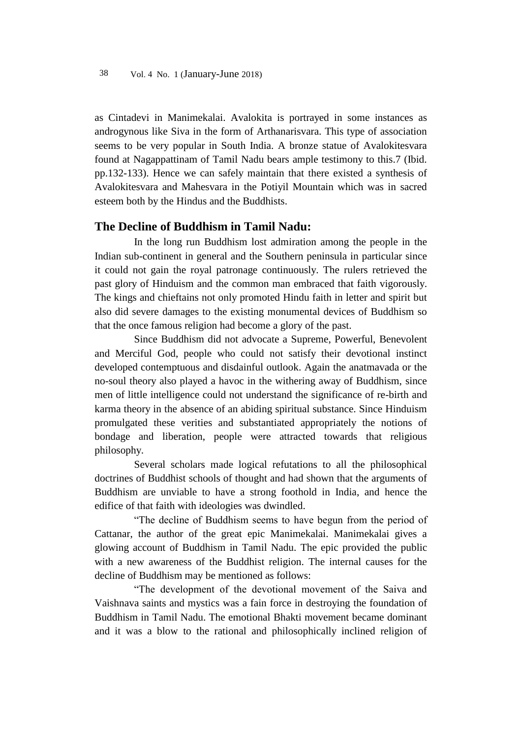as Cintadevi in Manimekalai. Avalokita is portrayed in some instances as androgynous like Siva in the form of Arthanarisvara. This type of association seems to be very popular in South India. A bronze statue of Avalokitesvara found at Nagappattinam of Tamil Nadu bears ample testimony to this.7 (Ibid. pp.132-133). Hence we can safely maintain that there existed a synthesis of Avalokitesvara and Mahesvara in the Potiyil Mountain which was in sacred esteem both by the Hindus and the Buddhists.

# **The Decline of Buddhism in Tamil Nadu:**

In the long run Buddhism lost admiration among the people in the Indian sub-continent in general and the Southern peninsula in particular since it could not gain the royal patronage continuously. The rulers retrieved the past glory of Hinduism and the common man embraced that faith vigorously. The kings and chieftains not only promoted Hindu faith in letter and spirit but also did severe damages to the existing monumental devices of Buddhism so that the once famous religion had become a glory of the past.

Since Buddhism did not advocate a Supreme, Powerful, Benevolent and Merciful God, people who could not satisfy their devotional instinct developed contemptuous and disdainful outlook. Again the anatmavada or the no-soul theory also played a havoc in the withering away of Buddhism, since men of little intelligence could not understand the significance of re-birth and karma theory in the absence of an abiding spiritual substance. Since Hinduism promulgated these verities and substantiated appropriately the notions of bondage and liberation, people were attracted towards that religious philosophy.

Several scholars made logical refutations to all the philosophical doctrines of Buddhist schools of thought and had shown that the arguments of Buddhism are unviable to have a strong foothold in India, and hence the edifice of that faith with ideologies was dwindled.

"The decline of Buddhism seems to have begun from the period of Cattanar, the author of the great epic Manimekalai. Manimekalai gives a glowing account of Buddhism in Tamil Nadu. The epic provided the public with a new awareness of the Buddhist religion. The internal causes for the decline of Buddhism may be mentioned as follows:

―The development of the devotional movement of the Saiva and Vaishnava saints and mystics was a fain force in destroying the foundation of Buddhism in Tamil Nadu. The emotional Bhakti movement became dominant and it was a blow to the rational and philosophically inclined religion of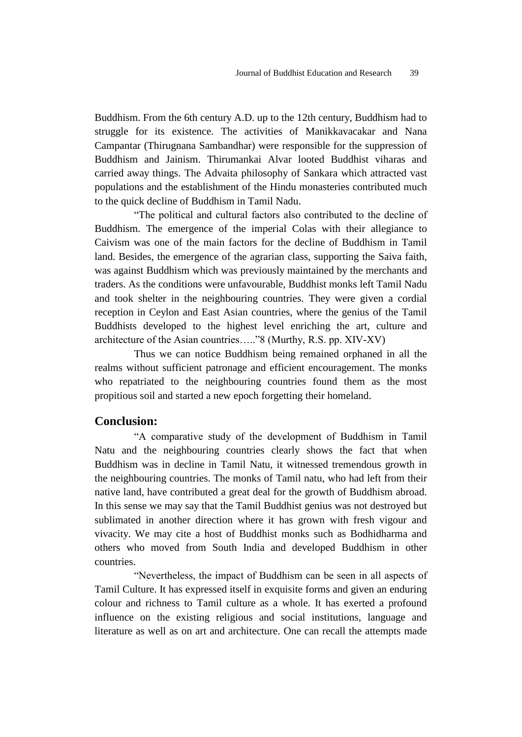Buddhism. From the 6th century A.D. up to the 12th century, Buddhism had to struggle for its existence. The activities of Manikkavacakar and Nana Campantar (Thirugnana Sambandhar) were responsible for the suppression of Buddhism and Jainism. Thirumankai Alvar looted Buddhist viharas and carried away things. The Advaita philosophy of Sankara which attracted vast populations and the establishment of the Hindu monasteries contributed much to the quick decline of Buddhism in Tamil Nadu.

"The political and cultural factors also contributed to the decline of Buddhism. The emergence of the imperial Colas with their allegiance to Caivism was one of the main factors for the decline of Buddhism in Tamil land. Besides, the emergence of the agrarian class, supporting the Saiva faith, was against Buddhism which was previously maintained by the merchants and traders. As the conditions were unfavourable, Buddhist monks left Tamil Nadu and took shelter in the neighbouring countries. They were given a cordial reception in Ceylon and East Asian countries, where the genius of the Tamil Buddhists developed to the highest level enriching the art, culture and architecture of the Asian countries....." $8$  (Murthy, R.S. pp. XIV-XV)

Thus we can notice Buddhism being remained orphaned in all the realms without sufficient patronage and efficient encouragement. The monks who repatriated to the neighbouring countries found them as the most propitious soil and started a new epoch forgetting their homeland.

# **Conclusion:**

"A comparative study of the development of Buddhism in Tamil Natu and the neighbouring countries clearly shows the fact that when Buddhism was in decline in Tamil Natu, it witnessed tremendous growth in the neighbouring countries. The monks of Tamil natu, who had left from their native land, have contributed a great deal for the growth of Buddhism abroad. In this sense we may say that the Tamil Buddhist genius was not destroyed but sublimated in another direction where it has grown with fresh vigour and vivacity. We may cite a host of Buddhist monks such as Bodhidharma and others who moved from South India and developed Buddhism in other countries.

"Nevertheless, the impact of Buddhism can be seen in all aspects of Tamil Culture. It has expressed itself in exquisite forms and given an enduring colour and richness to Tamil culture as a whole. It has exerted a profound influence on the existing religious and social institutions, language and literature as well as on art and architecture. One can recall the attempts made